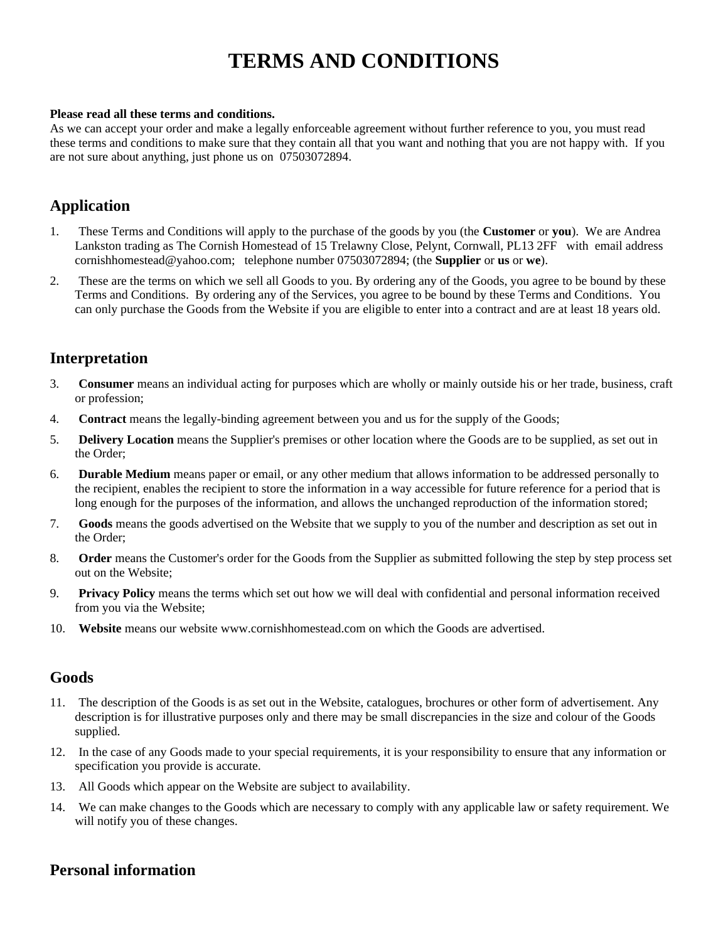# **TERMS AND CONDITIONS**

#### **Please read all these terms and conditions.**

As we can accept your order and make a legally enforceable agreement without further reference to you, you must read these terms and conditions to make sure that they contain all that you want and nothing that you are not happy with. If you are not sure about anything, just phone us on 07503072894.

### **Application**

- 1. These Terms and Conditions will apply to the purchase of the goods by you (the **Customer** or **you**). We are Andrea Lankston trading as The Cornish Homestead of 15 Trelawny Close, Pelynt, Cornwall, PL13 2FF with email address cornishhomestead@yahoo.com; telephone number 07503072894; (the **Supplier** or **us** or **we**).
- 2. These are the terms on which we sell all Goods to you. By ordering any of the Goods, you agree to be bound by these Terms and Conditions. By ordering any of the Services, you agree to be bound by these Terms and Conditions. You can only purchase the Goods from the Website if you are eligible to enter into a contract and are at least 18 years old.

# **Interpretation**

- 3. **Consumer** means an individual acting for purposes which are wholly or mainly outside his or her trade, business, craft or profession;
- 4. **Contract** means the legally-binding agreement between you and us for the supply of the Goods;
- 5. **Delivery Location** means the Supplier's premises or other location where the Goods are to be supplied, as set out in the Order;
- 6. **Durable Medium** means paper or email, or any other medium that allows information to be addressed personally to the recipient, enables the recipient to store the information in a way accessible for future reference for a period that is long enough for the purposes of the information, and allows the unchanged reproduction of the information stored;
- 7. **Goods** means the goods advertised on the Website that we supply to you of the number and description as set out in the Order;
- 8. **Order** means the Customer's order for the Goods from the Supplier as submitted following the step by step process set out on the Website;
- 9. **Privacy Policy** means the terms which set out how we will deal with confidential and personal information received from you via the Website;
- 10. **Website** means our website www.cornishhomestead.com on which the Goods are advertised.

### **Goods**

- 11. The description of the Goods is as set out in the Website, catalogues, brochures or other form of advertisement. Any description is for illustrative purposes only and there may be small discrepancies in the size and colour of the Goods supplied.
- 12. In the case of any Goods made to your special requirements, it is your responsibility to ensure that any information or specification you provide is accurate.
- 13. All Goods which appear on the Website are subject to availability.
- 14. We can make changes to the Goods which are necessary to comply with any applicable law or safety requirement. We will notify you of these changes.

### **Personal information**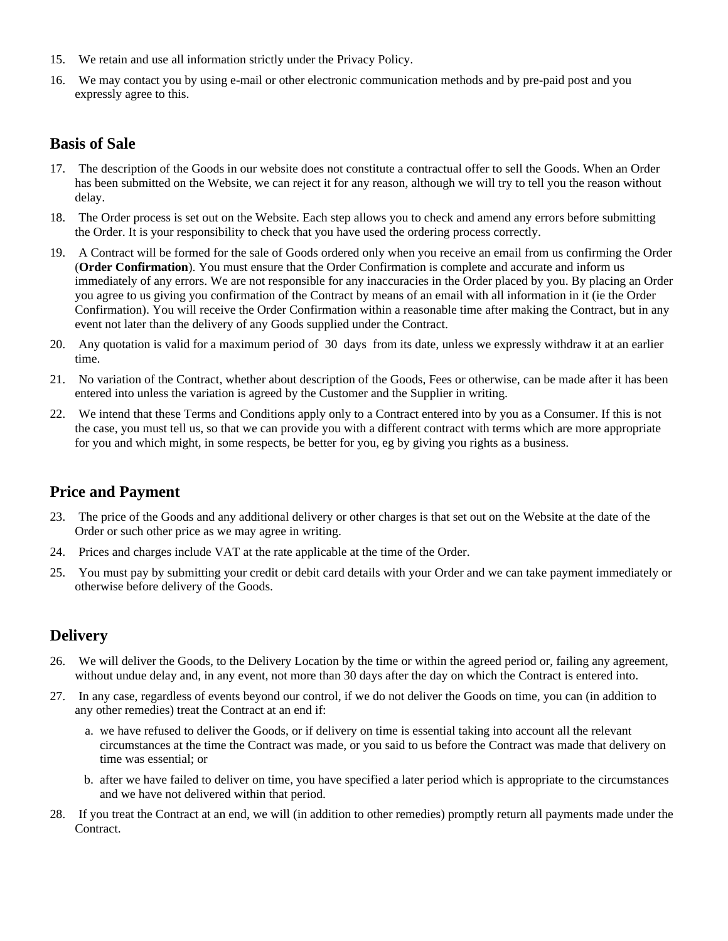- 15. We retain and use all information strictly under the Privacy Policy.
- 16. We may contact you by using e-mail or other electronic communication methods and by pre-paid post and you expressly agree to this.

### **Basis of Sale**

- 17. The description of the Goods in our website does not constitute a contractual offer to sell the Goods. When an Order has been submitted on the Website, we can reject it for any reason, although we will try to tell you the reason without delay.
- 18. The Order process is set out on the Website. Each step allows you to check and amend any errors before submitting the Order. It is your responsibility to check that you have used the ordering process correctly.
- 19. A Contract will be formed for the sale of Goods ordered only when you receive an email from us confirming the Order (**Order Confirmation**). You must ensure that the Order Confirmation is complete and accurate and inform us immediately of any errors. We are not responsible for any inaccuracies in the Order placed by you. By placing an Order you agree to us giving you confirmation of the Contract by means of an email with all information in it (ie the Order Confirmation). You will receive the Order Confirmation within a reasonable time after making the Contract, but in any event not later than the delivery of any Goods supplied under the Contract.
- 20. Any quotation is valid for a maximum period of 30 days from its date, unless we expressly withdraw it at an earlier time.
- 21. No variation of the Contract, whether about description of the Goods, Fees or otherwise, can be made after it has been entered into unless the variation is agreed by the Customer and the Supplier in writing.
- 22. We intend that these Terms and Conditions apply only to a Contract entered into by you as a Consumer. If this is not the case, you must tell us, so that we can provide you with a different contract with terms which are more appropriate for you and which might, in some respects, be better for you, eg by giving you rights as a business.

# **Price and Payment**

- 23. The price of the Goods and any additional delivery or other charges is that set out on the Website at the date of the Order or such other price as we may agree in writing.
- 24. Prices and charges include VAT at the rate applicable at the time of the Order.
- 25. You must pay by submitting your credit or debit card details with your Order and we can take payment immediately or otherwise before delivery of the Goods.

# **Delivery**

- 26. We will deliver the Goods, to the Delivery Location by the time or within the agreed period or, failing any agreement, without undue delay and, in any event, not more than 30 days after the day on which the Contract is entered into.
- 27. In any case, regardless of events beyond our control, if we do not deliver the Goods on time, you can (in addition to any other remedies) treat the Contract at an end if:
	- a. we have refused to deliver the Goods, or if delivery on time is essential taking into account all the relevant circumstances at the time the Contract was made, or you said to us before the Contract was made that delivery on time was essential; or
	- b. after we have failed to deliver on time, you have specified a later period which is appropriate to the circumstances and we have not delivered within that period.
- 28. If you treat the Contract at an end, we will (in addition to other remedies) promptly return all payments made under the Contract.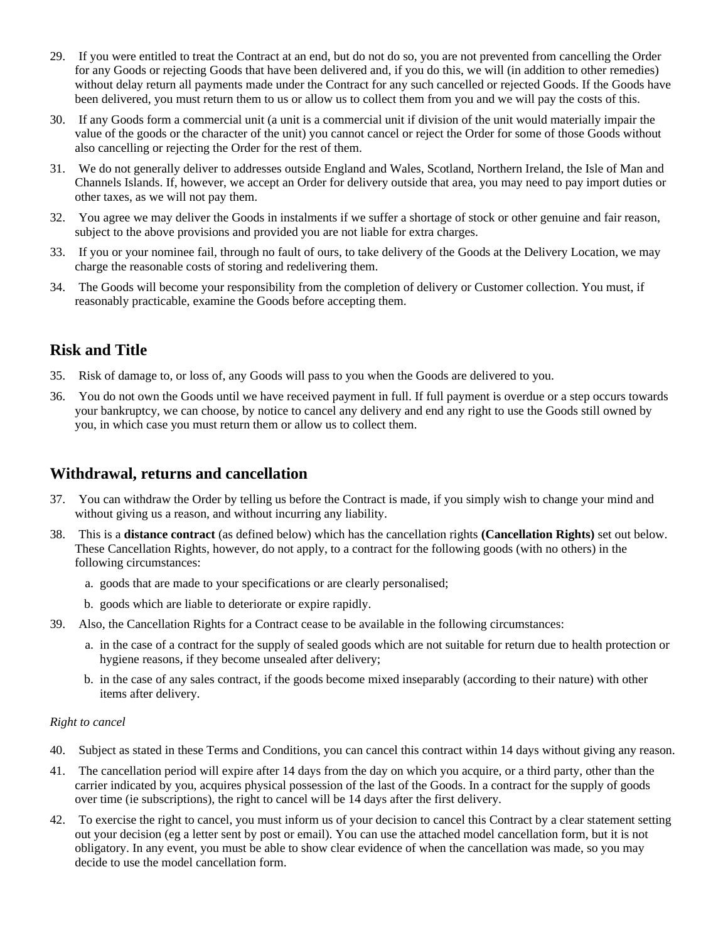- 29. If you were entitled to treat the Contract at an end, but do not do so, you are not prevented from cancelling the Order for any Goods or rejecting Goods that have been delivered and, if you do this, we will (in addition to other remedies) without delay return all payments made under the Contract for any such cancelled or rejected Goods. If the Goods have been delivered, you must return them to us or allow us to collect them from you and we will pay the costs of this.
- 30. If any Goods form a commercial unit (a unit is a commercial unit if division of the unit would materially impair the value of the goods or the character of the unit) you cannot cancel or reject the Order for some of those Goods without also cancelling or rejecting the Order for the rest of them.
- 31. We do not generally deliver to addresses outside England and Wales, Scotland, Northern Ireland, the Isle of Man and Channels Islands. If, however, we accept an Order for delivery outside that area, you may need to pay import duties or other taxes, as we will not pay them.
- 32. You agree we may deliver the Goods in instalments if we suffer a shortage of stock or other genuine and fair reason, subject to the above provisions and provided you are not liable for extra charges.
- 33. If you or your nominee fail, through no fault of ours, to take delivery of the Goods at the Delivery Location, we may charge the reasonable costs of storing and redelivering them.
- 34. The Goods will become your responsibility from the completion of delivery or Customer collection. You must, if reasonably practicable, examine the Goods before accepting them.

# **Risk and Title**

- 35. Risk of damage to, or loss of, any Goods will pass to you when the Goods are delivered to you.
- 36. You do not own the Goods until we have received payment in full. If full payment is overdue or a step occurs towards your bankruptcy, we can choose, by notice to cancel any delivery and end any right to use the Goods still owned by you, in which case you must return them or allow us to collect them.

### **Withdrawal, returns and cancellation**

- 37. You can withdraw the Order by telling us before the Contract is made, if you simply wish to change your mind and without giving us a reason, and without incurring any liability.
- 38. This is a **distance contract** (as defined below) which has the cancellation rights **(Cancellation Rights)** set out below. These Cancellation Rights, however, do not apply, to a contract for the following goods (with no others) in the following circumstances:
	- a. goods that are made to your specifications or are clearly personalised;
	- b. goods which are liable to deteriorate or expire rapidly.
- 39. Also, the Cancellation Rights for a Contract cease to be available in the following circumstances:
	- a. in the case of a contract for the supply of sealed goods which are not suitable for return due to health protection or hygiene reasons, if they become unsealed after delivery;
	- b. in the case of any sales contract, if the goods become mixed inseparably (according to their nature) with other items after delivery.

#### *Right to cancel*

- 40. Subject as stated in these Terms and Conditions, you can cancel this contract within 14 days without giving any reason.
- 41. The cancellation period will expire after 14 days from the day on which you acquire, or a third party, other than the carrier indicated by you, acquires physical possession of the last of the Goods. In a contract for the supply of goods over time (ie subscriptions), the right to cancel will be 14 days after the first delivery.
- 42. To exercise the right to cancel, you must inform us of your decision to cancel this Contract by a clear statement setting out your decision (eg a letter sent by post or email). You can use the attached model cancellation form, but it is not obligatory. In any event, you must be able to show clear evidence of when the cancellation was made, so you may decide to use the model cancellation form.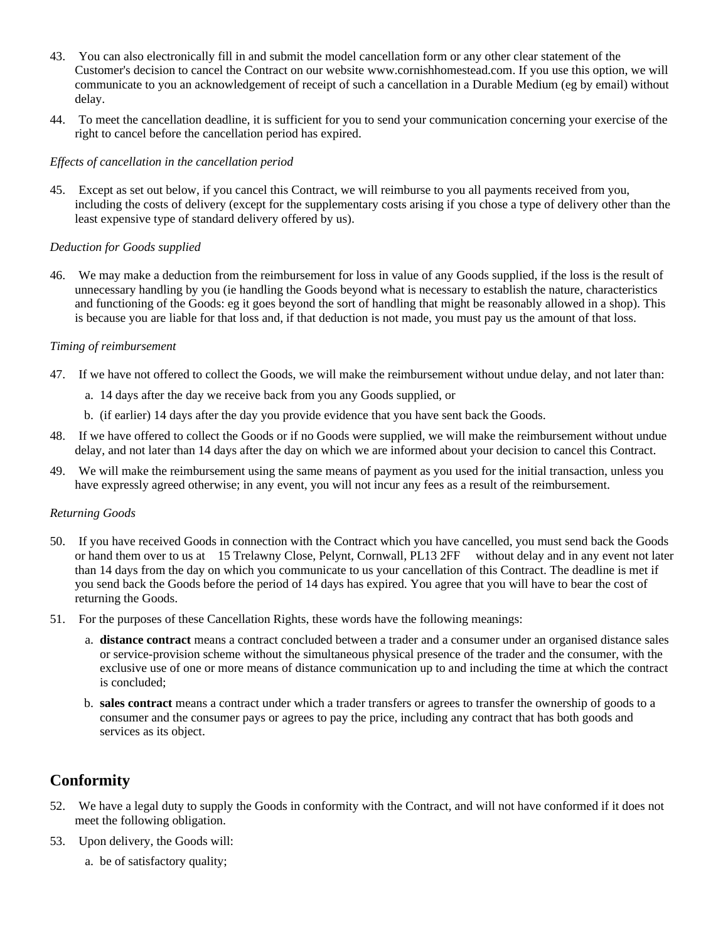- 43. You can also electronically fill in and submit the model cancellation form or any other clear statement of the Customer's decision to cancel the Contract on our website www.cornishhomestead.com. If you use this option, we will communicate to you an acknowledgement of receipt of such a cancellation in a Durable Medium (eg by email) without delay.
- 44. To meet the cancellation deadline, it is sufficient for you to send your communication concerning your exercise of the right to cancel before the cancellation period has expired.

#### *Effects of cancellation in the cancellation period*

45. Except as set out below, if you cancel this Contract, we will reimburse to you all payments received from you, including the costs of delivery (except for the supplementary costs arising if you chose a type of delivery other than the least expensive type of standard delivery offered by us).

#### *Deduction for Goods supplied*

46. We may make a deduction from the reimbursement for loss in value of any Goods supplied, if the loss is the result of unnecessary handling by you (ie handling the Goods beyond what is necessary to establish the nature, characteristics and functioning of the Goods: eg it goes beyond the sort of handling that might be reasonably allowed in a shop). This is because you are liable for that loss and, if that deduction is not made, you must pay us the amount of that loss.

#### *Timing of reimbursement*

- 47. If we have not offered to collect the Goods, we will make the reimbursement without undue delay, and not later than:
	- a. 14 days after the day we receive back from you any Goods supplied, or
	- b. (if earlier) 14 days after the day you provide evidence that you have sent back the Goods.
- 48. If we have offered to collect the Goods or if no Goods were supplied, we will make the reimbursement without undue delay, and not later than 14 days after the day on which we are informed about your decision to cancel this Contract.
- 49. We will make the reimbursement using the same means of payment as you used for the initial transaction, unless you have expressly agreed otherwise; in any event, you will not incur any fees as a result of the reimbursement.

#### *Returning Goods*

- 50. If you have received Goods in connection with the Contract which you have cancelled, you must send back the Goods or hand them over to us at 15 Trelawny Close, Pelynt, Cornwall, PL13 2FF without delay and in any event not later than 14 days from the day on which you communicate to us your cancellation of this Contract. The deadline is met if you send back the Goods before the period of 14 days has expired. You agree that you will have to bear the cost of returning the Goods.
- 51. For the purposes of these Cancellation Rights, these words have the following meanings:
	- a. **distance contract** means a contract concluded between a trader and a consumer under an organised distance sales or service-provision scheme without the simultaneous physical presence of the trader and the consumer, with the exclusive use of one or more means of distance communication up to and including the time at which the contract is concluded;
	- b. **sales contract** means a contract under which a trader transfers or agrees to transfer the ownership of goods to a consumer and the consumer pays or agrees to pay the price, including any contract that has both goods and services as its object.

# **Conformity**

- 52. We have a legal duty to supply the Goods in conformity with the Contract, and will not have conformed if it does not meet the following obligation.
- 53. Upon delivery, the Goods will:
	- a. be of satisfactory quality;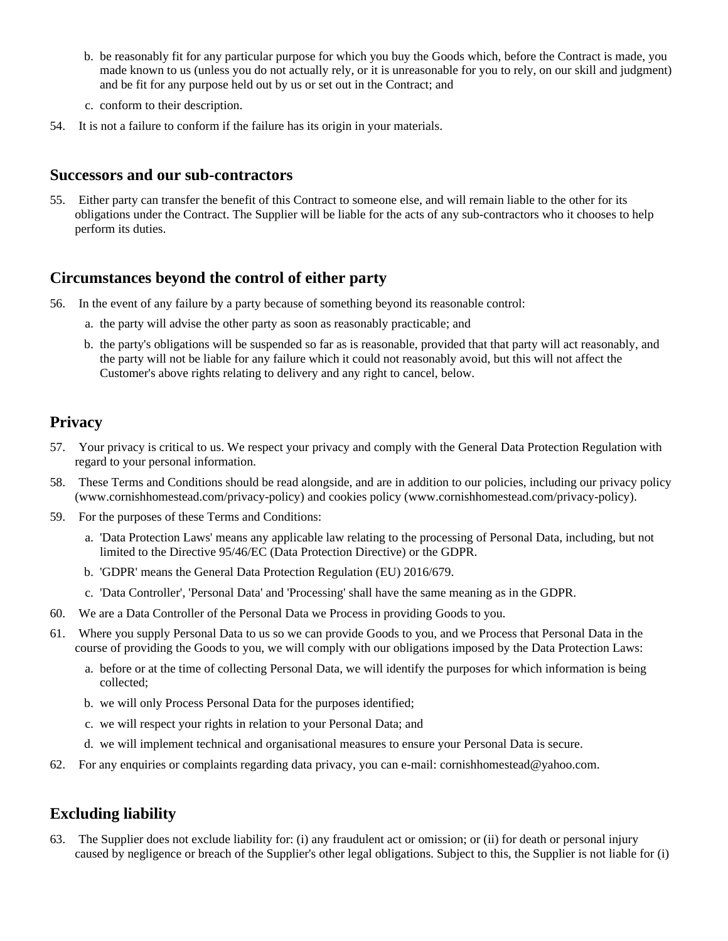- b. be reasonably fit for any particular purpose for which you buy the Goods which, before the Contract is made, you made known to us (unless you do not actually rely, or it is unreasonable for you to rely, on our skill and judgment) and be fit for any purpose held out by us or set out in the Contract; and
- c. conform to their description.
- 54. It is not a failure to conform if the failure has its origin in your materials.

### **Successors and our sub-contractors**

55. Either party can transfer the benefit of this Contract to someone else, and will remain liable to the other for its obligations under the Contract. The Supplier will be liable for the acts of any sub-contractors who it chooses to help perform its duties.

### **Circumstances beyond the control of either party**

- 56. In the event of any failure by a party because of something beyond its reasonable control:
	- a. the party will advise the other party as soon as reasonably practicable; and
	- b. the party's obligations will be suspended so far as is reasonable, provided that that party will act reasonably, and the party will not be liable for any failure which it could not reasonably avoid, but this will not affect the Customer's above rights relating to delivery and any right to cancel, below.

# **Privacy**

- 57. Your privacy is critical to us. We respect your privacy and comply with the General Data Protection Regulation with regard to your personal information.
- 58. These Terms and Conditions should be read alongside, and are in addition to our policies, including our privacy policy (www.cornishhomestead.com/privacy-policy) and cookies policy (www.cornishhomestead.com/privacy-policy).
- 59. For the purposes of these Terms and Conditions:
	- a. 'Data Protection Laws' means any applicable law relating to the processing of Personal Data, including, but not limited to the Directive 95/46/EC (Data Protection Directive) or the GDPR.
	- b. 'GDPR' means the General Data Protection Regulation (EU) 2016/679.
	- c. 'Data Controller', 'Personal Data' and 'Processing' shall have the same meaning as in the GDPR.
- 60. We are a Data Controller of the Personal Data we Process in providing Goods to you.
- 61. Where you supply Personal Data to us so we can provide Goods to you, and we Process that Personal Data in the course of providing the Goods to you, we will comply with our obligations imposed by the Data Protection Laws:
	- a. before or at the time of collecting Personal Data, we will identify the purposes for which information is being collected;
	- b. we will only Process Personal Data for the purposes identified;
	- c. we will respect your rights in relation to your Personal Data; and
	- d. we will implement technical and organisational measures to ensure your Personal Data is secure.
- 62. For any enquiries or complaints regarding data privacy, you can e-mail: cornishhomestead@yahoo.com.

# **Excluding liability**

63. The Supplier does not exclude liability for: (i) any fraudulent act or omission; or (ii) for death or personal injury caused by negligence or breach of the Supplier's other legal obligations. Subject to this, the Supplier is not liable for (i)